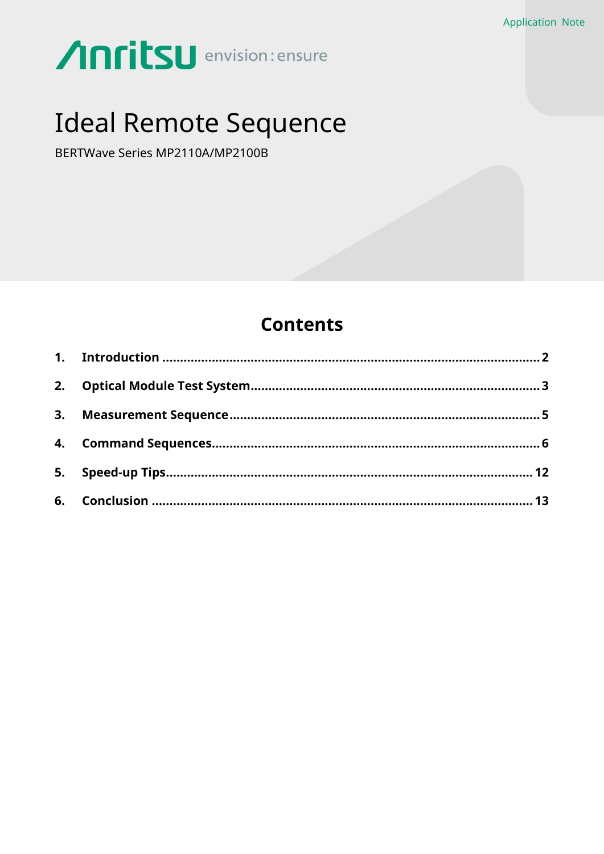# Anritsu envision: ensure

## **Ideal Remote Sequence**

BERTWave Series MP2110A/MP2100B

## **Contents**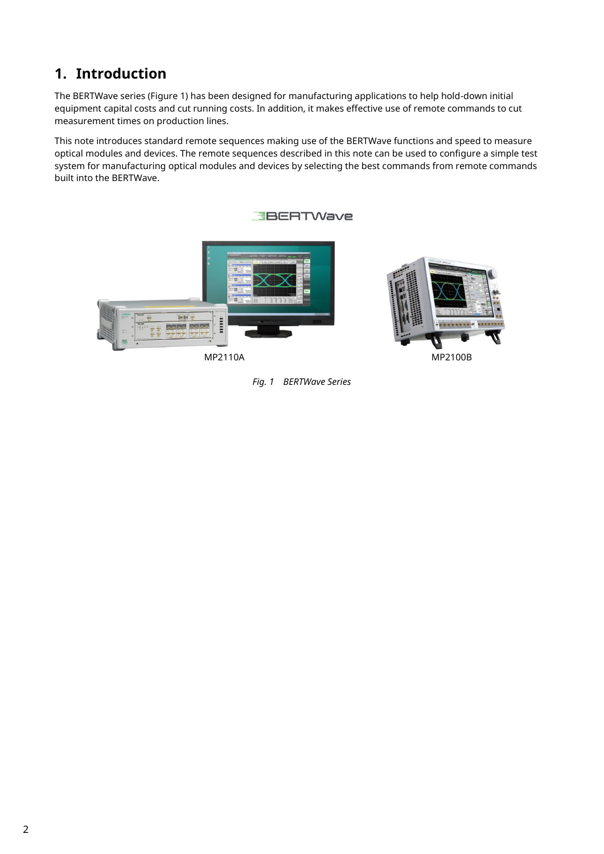## <span id="page-1-0"></span>**1. Introduction**

The BERTWave series (Figure 1) has been designed for manufacturing applications to help hold-down initial equipment capital costs and cut running costs. In addition, it makes effective use of remote commands to cut measurement times on production lines.

This note introduces standard remote sequences making use of the BERTWave functions and speed to measure optical modules and devices. The remote sequences described in this note can be used to configure a simple test system for manufacturing optical modules and devices by selecting the best commands from remote commands built into the BERTWave.









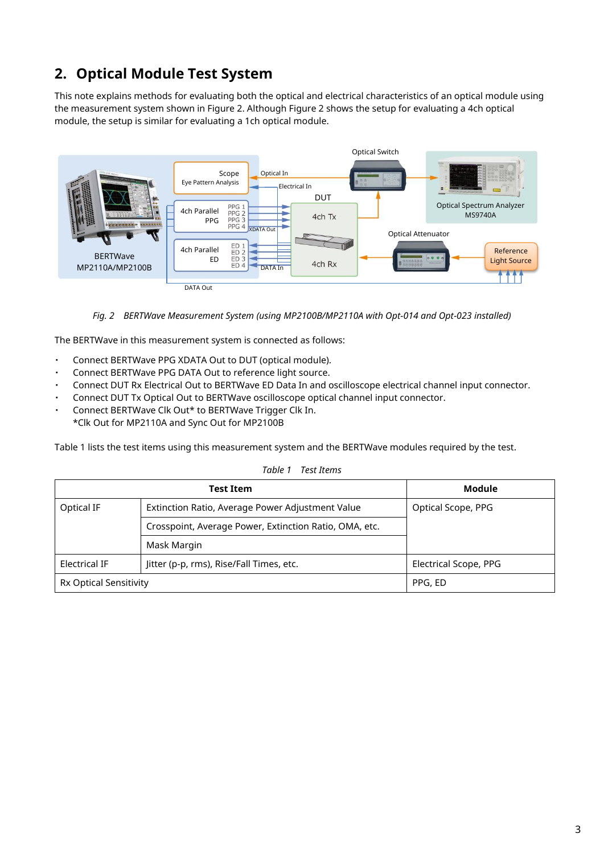## <span id="page-2-0"></span>**2. Optical Module Test System**

This note explains methods for evaluating both the optical and electrical characteristics of an optical module using the measurement system shown in Figure 2. Although Figure 2 shows the setup for evaluating a 4ch optical module, the setup is similar for evaluating a 1ch optical module.



*Fig. 2 BERTWave Measurement System (using MP2100B/MP2110A with Opt-014 and Opt-023 installed)*

The BERTWave in this measurement system is connected as follows:

- Connect BERTWave PPG XDATA Out to DUT (optical module).
- ・ Connect BERTWave PPG DATA Out to reference light source.
- Connect DUT Rx Electrical Out to BERTWave ED Data In and oscilloscope electrical channel input connector.
- Connect DUT Tx Optical Out to BERTWave oscilloscope optical channel input connector.
- Connect BERTWave Clk Out\* to BERTWave Trigger Clk In.
- \*Clk Out for MP2110A and Sync Out for MP2100B

Table 1 lists the test items using this measurement system and the BERTWave modules required by the test.

|                               | <b>Test Item</b>                                       |                       |  |
|-------------------------------|--------------------------------------------------------|-----------------------|--|
| Optical IF                    | Extinction Ratio, Average Power Adjustment Value       | Optical Scope, PPG    |  |
|                               | Crosspoint, Average Power, Extinction Ratio, OMA, etc. |                       |  |
|                               | Mask Margin                                            |                       |  |
| <b>Electrical IF</b>          | Jitter (p-p, rms), Rise/Fall Times, etc.               | Electrical Scope, PPG |  |
| <b>Rx Optical Sensitivity</b> |                                                        | PPG, ED               |  |

*Table 1 Test Items*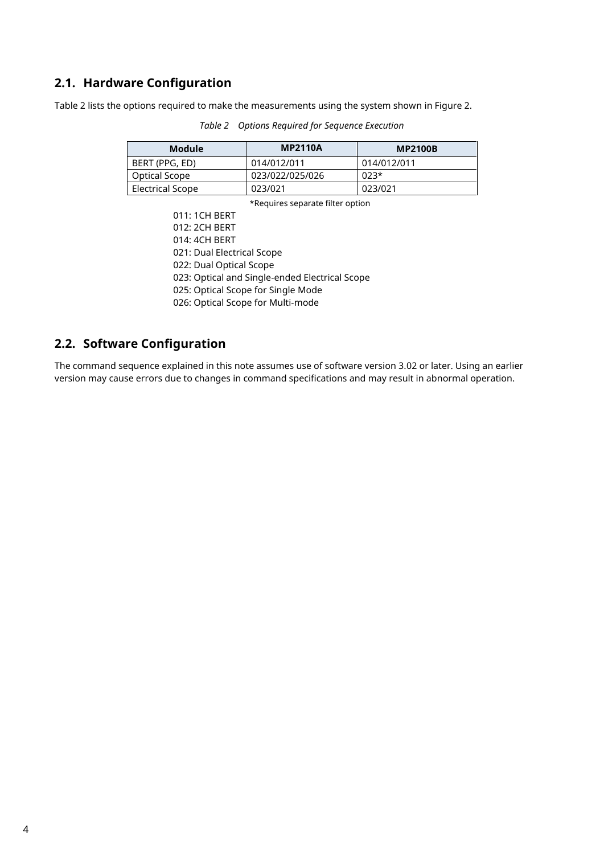#### **2.1. Hardware Configuration**

Table 2 lists the options required to make the measurements using the system shown in Figure 2.

| <b>Module</b>           | <b>MP2110A</b>  | <b>MP2100B</b> |
|-------------------------|-----------------|----------------|
| BERT (PPG, ED)          | 014/012/011     | 014/012/011    |
| Optical Scope           | 023/022/025/026 | $023*$         |
| <b>Electrical Scope</b> | 023/021         | 023/021        |

*Table 2 Options Required for Sequence Execution*

\*Requires separate filter option

011: 1CH BERT 012: 2CH BERT 014: 4CH BERT 021: Dual Electrical Scope 022: Dual Optical Scope 023: Optical and Single-ended Electrical Scope 025: Optical Scope for Single Mode 026: Optical Scope for Multi-mode

#### **2.2. Software Configuration**

The command sequence explained in this note assumes use of software version 3.02 or later. Using an earlier version may cause errors due to changes in command specifications and may result in abnormal operation.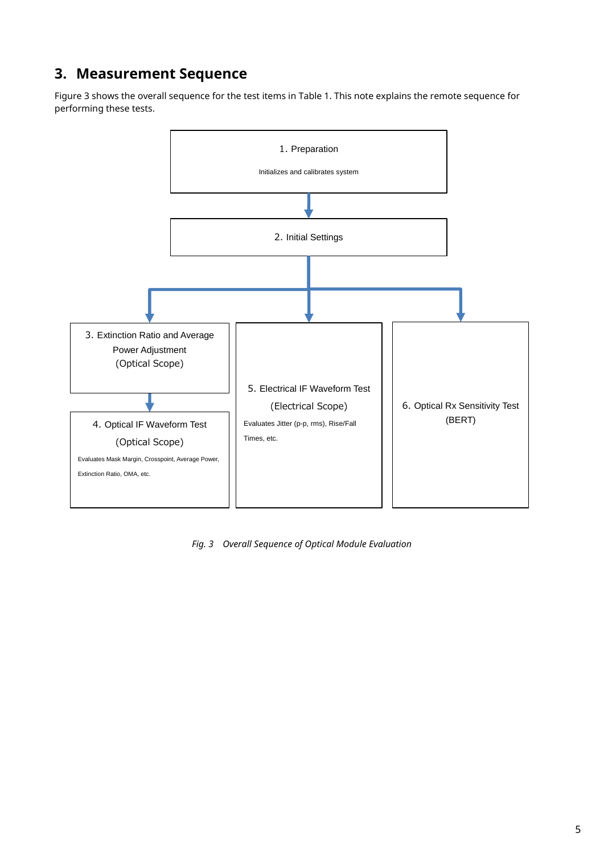## <span id="page-4-0"></span>**3. Measurement Sequence**

Figure 3 shows the overall sequence for the test items in Table 1. This note explains the remote sequence for performing these tests.



*Fig. 3 Overall Sequence of Optical Module Evaluation*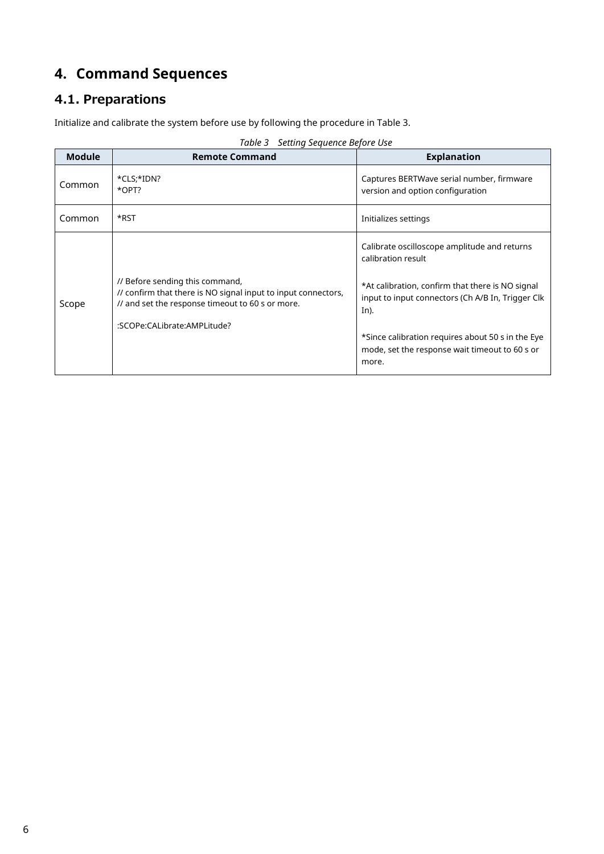## <span id="page-5-0"></span>**4. Command Sequences**

## 4.1. Preparations

Initialize and calibrate the system before use by following the procedure in Table 3.

|  | Table 3 Setting Sequence Before Use |  |
|--|-------------------------------------|--|
|  |                                     |  |

| <b>Module</b> | <b>Remote Command</b>                                                                                                                                | <b>Explanation</b>                                                                                            |
|---------------|------------------------------------------------------------------------------------------------------------------------------------------------------|---------------------------------------------------------------------------------------------------------------|
| Common        | *CLS;*IDN?<br>*OPT?                                                                                                                                  | Captures BERTWave serial number, firmware<br>version and option configuration                                 |
| Common        | *RST                                                                                                                                                 | Initializes settings                                                                                          |
|               |                                                                                                                                                      | Calibrate oscilloscope amplitude and returns<br>calibration result                                            |
| Scope         | // Before sending this command,<br>// confirm that there is NO signal input to input connectors,<br>// and set the response timeout to 60 s or more. | *At calibration, confirm that there is NO signal<br>input to input connectors (Ch A/B In, Trigger Clk<br>In). |
|               | :SCOPe:CALibrate:AMPLitude?                                                                                                                          | *Since calibration requires about 50 s in the Eye<br>mode, set the response wait timeout to 60 s or<br>more.  |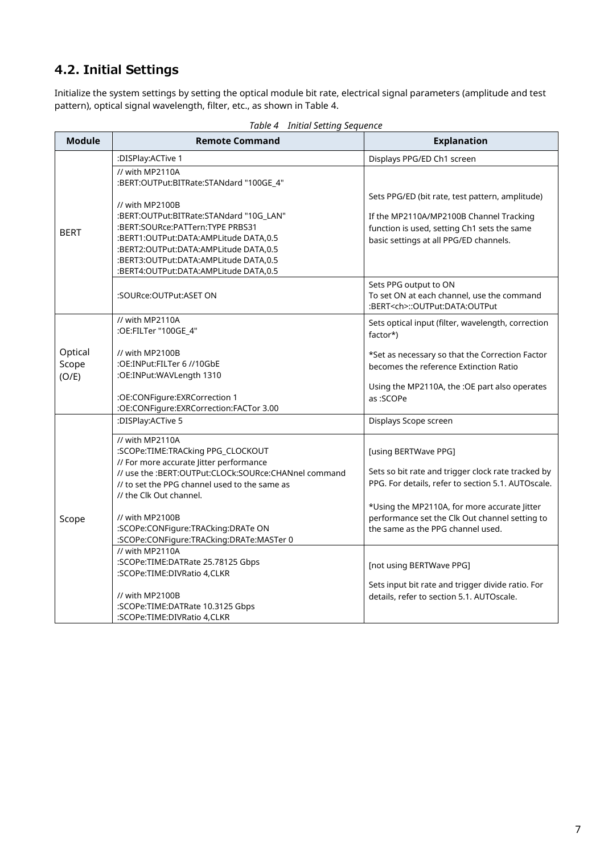## 4.2. Initial Settings

Initialize the system settings by setting the optical module bit rate, electrical signal parameters (amplitude and test pattern), optical signal wavelength, filter, etc., as shown in Table 4.

| <b>Module</b>             | <b>Remote Command</b>                                                                                                                                            | <b>Explanation</b>                                                                                                                        |
|---------------------------|------------------------------------------------------------------------------------------------------------------------------------------------------------------|-------------------------------------------------------------------------------------------------------------------------------------------|
|                           | :DISPlay:ACTive 1                                                                                                                                                | Displays PPG/ED Ch1 screen                                                                                                                |
|                           | // with MP2110A<br>:BERT:OUTPut:BITRate:STANdard "100GE_4"                                                                                                       |                                                                                                                                           |
| <b>BERT</b>               | // with MP2100B<br>:BERT:OUTPut:BITRate:STANdard "10G_LAN"<br>:BERT:SOURce:PATTern:TYPE PRBS31                                                                   | Sets PPG/ED (bit rate, test pattern, amplitude)<br>If the MP2110A/MP2100B Channel Tracking<br>function is used, setting Ch1 sets the same |
|                           | :BERT1:OUTPut:DATA:AMPLitude DATA,0.5<br>:BERT2:OUTPut:DATA:AMPLitude DATA,0.5<br>:BERT3:OUTPut:DATA:AMPLitude DATA,0.5<br>:BERT4:OUTPut:DATA:AMPLitude DATA,0.5 | basic settings at all PPG/ED channels.                                                                                                    |
|                           | :SOURce:OUTPut:ASET ON                                                                                                                                           | Sets PPG output to ON<br>To set ON at each channel, use the command<br>:BERT <ch>::OUTPut:DATA:OUTPut</ch>                                |
|                           | // with MP2110A<br>:OE:FILTer "100GE_4"                                                                                                                          | Sets optical input (filter, wavelength, correction<br>factor*)                                                                            |
| Optical<br>Scope<br>(O/E) | // with MP2100B<br>:OE:INPut:FILTer 6 //10GbE<br>:OE:INPut:WAVLength 1310                                                                                        | *Set as necessary so that the Correction Factor<br>becomes the reference Extinction Ratio                                                 |
|                           | :OE:CONFigure:EXRCorrection 1<br>:OE:CONFigure:EXRCorrection:FACTor 3.00                                                                                         | Using the MP2110A, the :OE part also operates<br>as:SCOPe                                                                                 |
|                           | :DISPlay:ACTive 5                                                                                                                                                | Displays Scope screen                                                                                                                     |
|                           | // with MP2110A<br>:SCOPe:TIME:TRACking PPG_CLOCKOUT<br>// For more accurate Jitter performance                                                                  | [using BERTWave PPG]                                                                                                                      |
|                           | // use the :BERT:OUTPut:CLOCk:SOURce:CHANnel command<br>// to set the PPG channel used to the same as<br>// the Clk Out channel.                                 | Sets so bit rate and trigger clock rate tracked by<br>PPG. For details, refer to section 5.1. AUTOscale.                                  |
| Scope                     | // with MP2100B<br>:SCOPe:CONFigure:TRACking:DRATe ON<br>:SCOPe:CONFigure:TRACking:DRATe:MASTer 0                                                                | *Using the MP2110A, for more accurate Jitter<br>performance set the Clk Out channel setting to<br>the same as the PPG channel used.       |
|                           | // with MP2110A<br>:SCOPe:TIME:DATRate 25.78125 Gbps<br>:SCOPe:TIME:DIVRatio 4,CLKR                                                                              | [not using BERTWave PPG]                                                                                                                  |
|                           | // with MP2100B<br>:SCOPe:TIME:DATRate 10.3125 Gbps<br>:SCOPe:TIME:DIVRatio 4,CLKR                                                                               | Sets input bit rate and trigger divide ratio. For<br>details, refer to section 5.1. AUTOscale.                                            |

*Table 4 Initial Setting Sequence*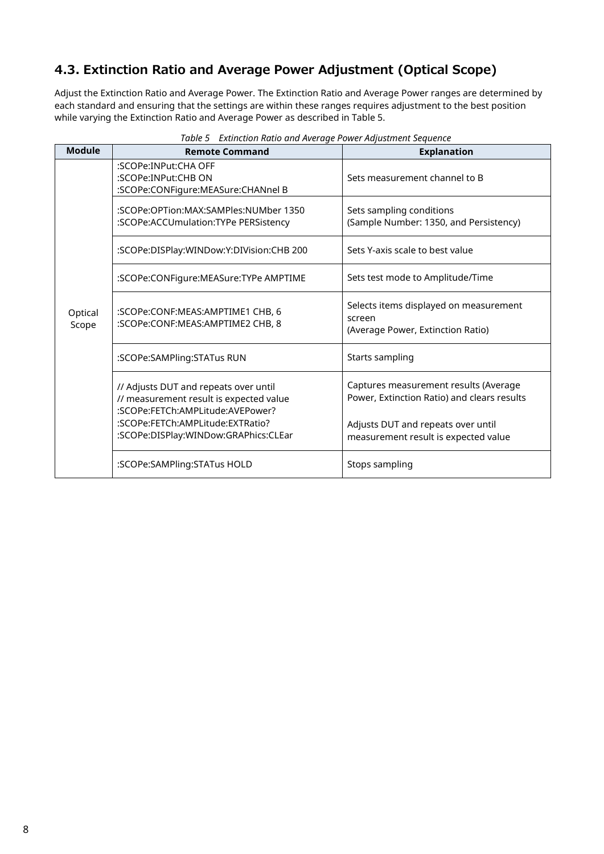#### 4.3. Extinction Ratio and Average Power Adjustment (Optical Scope)

Adjust the Extinction Ratio and Average Power. The Extinction Ratio and Average Power ranges are determined by each standard and ensuring that the settings are within these ranges requires adjustment to the best position while varying the Extinction Ratio and Average Power as described in Table 5.

| <b>Module</b>    | <b>Remote Command</b>                                                                                                | <b>Explanation</b>                                                                    |
|------------------|----------------------------------------------------------------------------------------------------------------------|---------------------------------------------------------------------------------------|
|                  | :SCOPe:INPut:CHA OFF<br>:SCOPe:INPut:CHB ON<br>:SCOPe:CONFigure:MEASure:CHANnel B                                    | Sets measurement channel to B                                                         |
|                  | :SCOPe:OPTion:MAX:SAMPles:NUMber 1350<br>:SCOPe:ACCUmulation:TYPe PERSistency                                        | Sets sampling conditions<br>(Sample Number: 1350, and Persistency)                    |
|                  | :SCOPe:DISPlay:WINDow:Y:DIVision:CHB 200                                                                             | Sets Y-axis scale to best value                                                       |
|                  | :SCOPe:CONFigure:MEASure:TYPe AMPTIME                                                                                | Sets test mode to Amplitude/Time                                                      |
| Optical<br>Scope | :SCOPe:CONF:MEAS:AMPTIME1 CHB, 6<br>:SCOPe:CONF:MEAS:AMPTIME2 CHB, 8                                                 | Selects items displayed on measurement<br>screen<br>(Average Power, Extinction Ratio) |
|                  | :SCOPe:SAMPling:STATus RUN                                                                                           | Starts sampling                                                                       |
|                  | // Adjusts DUT and repeats over until<br>// measurement result is expected value<br>:SCOPe:FETCh:AMPLitude:AVEPower? | Captures measurement results (Average<br>Power, Extinction Ratio) and clears results  |
|                  | :SCOPe:FETCh:AMPLitude:EXTRatio?<br>:SCOPe:DISPlay:WINDow:GRAPhics:CLEar                                             | Adjusts DUT and repeats over until<br>measurement result is expected value            |
|                  | :SCOPe:SAMPling:STATus HOLD                                                                                          | Stops sampling                                                                        |

*Table 5 Extinction Ratio and Average Power Adjustment Sequence*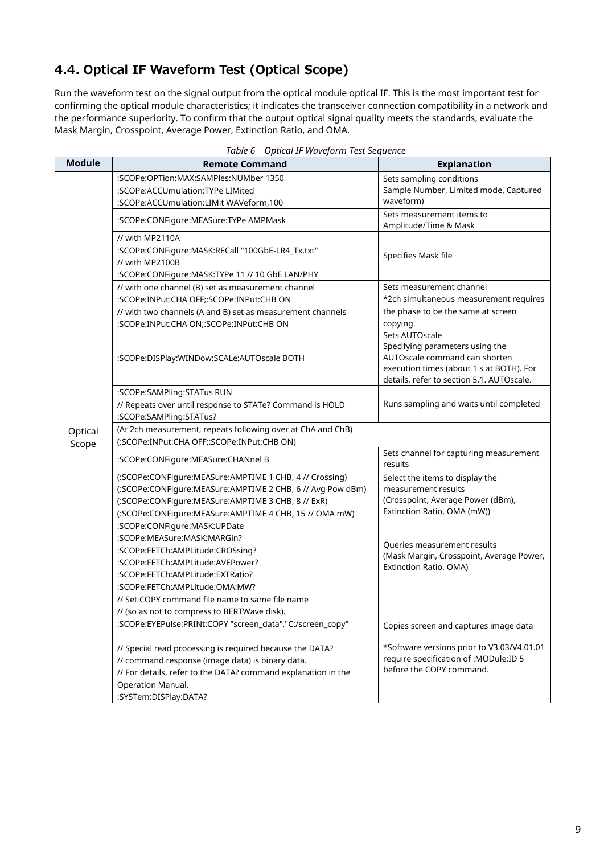### 4.4. Optical IF Waveform Test (Optical Scope)

Run the waveform test on the signal output from the optical module optical IF. This is the most important test for confirming the optical module characteristics; it indicates the transceiver connection compatibility in a network and the performance superiority. To confirm that the output optical signal quality meets the standards, evaluate the Mask Margin, Crosspoint, Average Power, Extinction Ratio, and OMA.

| <b>Module</b><br><b>Remote Command</b> |                                                                                        | <b>Explanation</b>                                               |  |
|----------------------------------------|----------------------------------------------------------------------------------------|------------------------------------------------------------------|--|
|                                        | :SCOPe:OPTion:MAX:SAMPles:NUMber 1350                                                  | Sets sampling conditions                                         |  |
|                                        | :SCOPe:ACCUmulation:TYPe LIMited                                                       | Sample Number, Limited mode, Captured                            |  |
|                                        | :SCOPe:ACCUmulation:LIMit WAVeform,100                                                 | waveform)                                                        |  |
|                                        | :SCOPe:CONFigure:MEASure:TYPe AMPMask                                                  | Sets measurement items to                                        |  |
|                                        |                                                                                        | Amplitude/Time & Mask                                            |  |
|                                        | // with MP2110A                                                                        |                                                                  |  |
|                                        | :SCOPe:CONFigure:MASK:RECall "100GbE-LR4_Tx.txt"                                       | Specifies Mask file                                              |  |
|                                        | // with MP2100B<br>:SCOPe:CONFigure:MASK:TYPe 11 // 10 GbE LAN/PHY                     |                                                                  |  |
|                                        | // with one channel (B) set as measurement channel                                     | Sets measurement channel                                         |  |
|                                        | :SCOPe:INPut:CHA OFF;:SCOPe:INPut:CHB ON                                               | *2ch simultaneous measurement requires                           |  |
|                                        | // with two channels (A and B) set as measurement channels                             | the phase to be the same at screen                               |  |
|                                        | :SCOPe:INPut:CHA ON;:SCOPe:INPut:CHB ON                                                | copying.                                                         |  |
|                                        |                                                                                        | Sets AUTOscale                                                   |  |
|                                        |                                                                                        | Specifying parameters using the                                  |  |
|                                        | :SCOPe:DISPlay:WINDow:SCALe:AUTOscale BOTH                                             | AUTOscale command can shorten                                    |  |
|                                        |                                                                                        | execution times (about 1 s at BOTH). For                         |  |
|                                        |                                                                                        | details, refer to section 5.1. AUTOscale.                        |  |
|                                        | :SCOPe:SAMPling:STATus RUN<br>// Repeats over until response to STATe? Command is HOLD | Runs sampling and waits until completed                          |  |
|                                        | :SCOPe:SAMPling:STATus?                                                                |                                                                  |  |
| Optical                                | (At 2ch measurement, repeats following over at ChA and ChB)                            |                                                                  |  |
| Scope                                  | (:SCOPe:INPut:CHA OFF;:SCOPe:INPut:CHB ON)                                             |                                                                  |  |
|                                        | :SCOPe:CONFigure:MEASure:CHANnel B                                                     | Sets channel for capturing measurement                           |  |
|                                        |                                                                                        | results                                                          |  |
|                                        | (:SCOPe:CONFigure:MEASure:AMPTIME 1 CHB, 4 // Crossing)                                | Select the items to display the                                  |  |
|                                        | (:SCOPe:CONFigure:MEASure:AMPTIME 2 CHB, 6 // Avg Pow dBm)                             | measurement results                                              |  |
|                                        | (:SCOPe:CONFigure:MEASure:AMPTIME 3 CHB, 8 // ExR)                                     | (Crosspoint, Average Power (dBm),<br>Extinction Ratio, OMA (mW)) |  |
|                                        | (:SCOPe:CONFigure:MEASure:AMPTIME 4 CHB, 15 // OMA mW)                                 |                                                                  |  |
|                                        | :SCOPe:CONFigure:MASK:UPDate<br>:SCOPe:MEASure:MASK:MARGin?                            |                                                                  |  |
|                                        | :SCOPe:FETCh:AMPLitude:CROSsing?                                                       | Queries measurement results                                      |  |
|                                        | :SCOPe:FETCh:AMPLitude:AVEPower?                                                       | (Mask Margin, Crosspoint, Average Power,                         |  |
|                                        | :SCOPe:FETCh:AMPLitude:EXTRatio?                                                       | Extinction Ratio, OMA)                                           |  |
|                                        | :SCOPe:FETCh:AMPLitude:OMA:MW?                                                         |                                                                  |  |
|                                        | // Set COPY command file name to same file name                                        |                                                                  |  |
|                                        | // (so as not to compress to BERTWave disk).                                           |                                                                  |  |
|                                        | :SCOPe:EYEPulse:PRINt:COPY "screen_data","C:/screen_copy"                              | Copies screen and captures image data                            |  |
|                                        | // Special read processing is required because the DATA?                               | *Software versions prior to V3.03/V4.01.01                       |  |
|                                        | // command response (image data) is binary data.                                       | require specification of : MODule:ID 5                           |  |
|                                        | // For details, refer to the DATA? command explanation in the                          | before the COPY command.                                         |  |
|                                        | Operation Manual.                                                                      |                                                                  |  |
|                                        | :SYSTem:DISPlay:DATA?                                                                  |                                                                  |  |

| Table 6 Optical IF Waveform Test Sequence |  |  |  |  |
|-------------------------------------------|--|--|--|--|
|-------------------------------------------|--|--|--|--|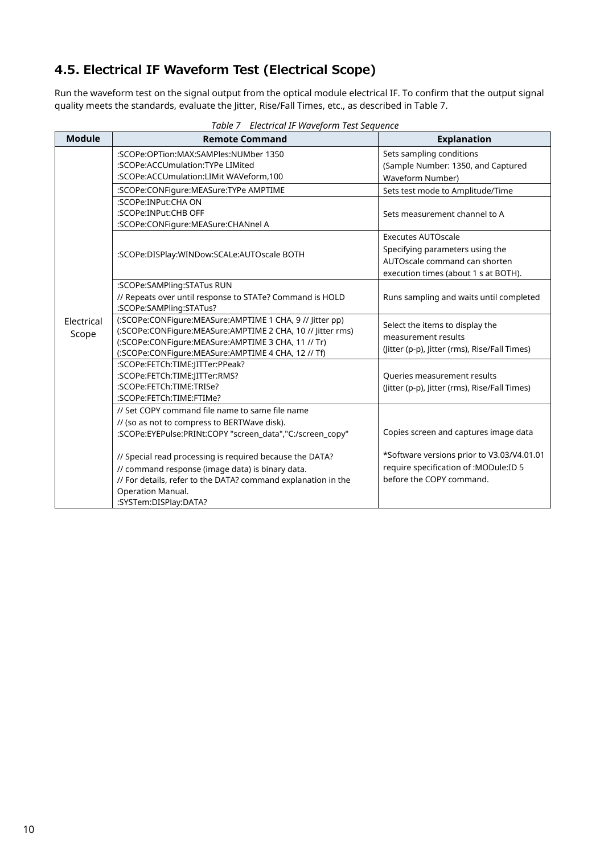#### 4.5. Electrical IF Waveform Test (Electrical Scope)

Run the waveform test on the signal output from the optical module electrical IF. To confirm that the output signal quality meets the standards, evaluate the Jitter, Rise/Fall Times, etc., as described in Table 7.

| <b>Module</b>       | Table 7 Electrical II Waveforth Test Sequence<br><b>Remote Command</b>                                                                                                                                                             | <b>Explanation</b>                                                                                                                    |
|---------------------|------------------------------------------------------------------------------------------------------------------------------------------------------------------------------------------------------------------------------------|---------------------------------------------------------------------------------------------------------------------------------------|
|                     | :SCOPe:OPTion:MAX:SAMPles:NUMber 1350<br>:SCOPe:ACCUmulation:TYPe LIMited<br>:SCOPe:ACCUmulation:LIMit WAVeform,100                                                                                                                | Sets sampling conditions<br>(Sample Number: 1350, and Captured<br><b>Waveform Number)</b>                                             |
|                     | :SCOPe:CONFigure:MEASure:TYPe AMPTIME                                                                                                                                                                                              | Sets test mode to Amplitude/Time                                                                                                      |
|                     | :SCOPe:INPut:CHA ON<br>:SCOPe:INPut:CHB OFF<br>:SCOPe:CONFigure:MEASure:CHANnel A                                                                                                                                                  | Sets measurement channel to A                                                                                                         |
|                     | :SCOPe:DISPlay:WINDow:SCALe:AUTOscale BOTH                                                                                                                                                                                         | <b>Executes AUTOscale</b><br>Specifying parameters using the<br>AUTOscale command can shorten<br>execution times (about 1 s at BOTH). |
|                     | :SCOPe:SAMPling:STATus RUN<br>// Repeats over until response to STATe? Command is HOLD<br>:SCOPe:SAMPling:STATus?                                                                                                                  | Runs sampling and waits until completed                                                                                               |
| Electrical<br>Scope | (:SCOPe:CONFigure:MEASure:AMPTIME 1 CHA, 9 // Jitter pp)<br>(:SCOPe:CONFigure:MEASure:AMPTIME 2 CHA, 10 // Jitter rms)<br>(:SCOPe:CONFigure:MEASure:AMPTIME 3 CHA, 11 // Tr)<br>(:SCOPe:CONFigure:MEASure:AMPTIME 4 CHA, 12 // Tf) | Select the items to display the<br>measurement results<br>(Jitter (p-p), Jitter (rms), Rise/Fall Times)                               |
|                     | :SCOPe:FETCh:TIME:JITTer:PPeak?<br>:SCOPe:FETCh:TIME:JITTer:RMS?<br>:SCOPe:FETCh:TIME:TRISe?<br>:SCOPe:FETCh:TIME:FTIMe?                                                                                                           | Queries measurement results<br>(Jitter (p-p), Jitter (rms), Rise/Fall Times)                                                          |
|                     | // Set COPY command file name to same file name<br>// (so as not to compress to BERTWave disk).<br>:SCOPe:EYEPulse:PRINt:COPY "screen data","C:/screen copy"                                                                       | Copies screen and captures image data                                                                                                 |
|                     | // Special read processing is required because the DATA?<br>// command response (image data) is binary data.<br>// For details, refer to the DATA? command explanation in the<br>Operation Manual.<br>:SYSTem:DISPlay:DATA?        | *Software versions prior to V3.03/V4.01.01<br>require specification of : MODule: ID 5<br>before the COPY command.                     |

*Table 7 Electrical IF Waveform Test Sequence*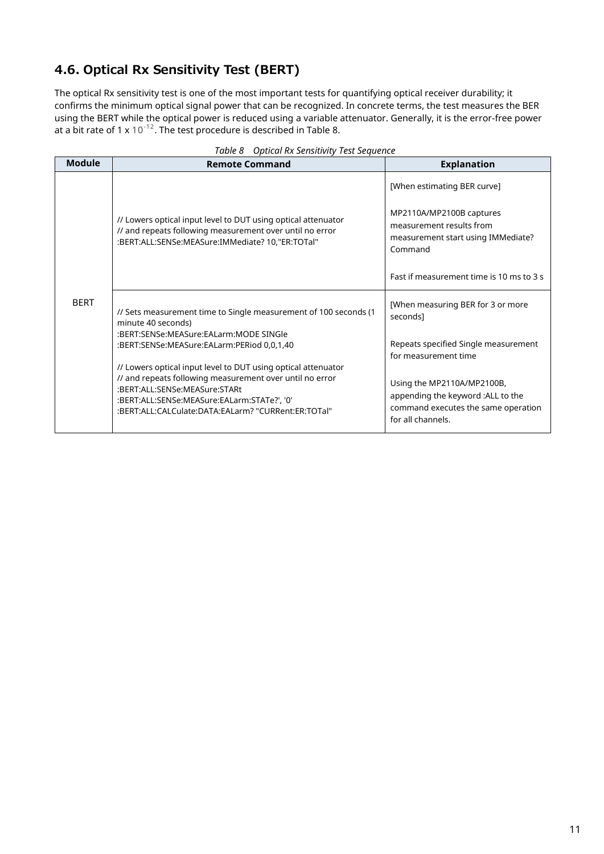### 4.6. Optical Rx Sensitivity Test (BERT)

The optical Rx sensitivity test is one of the most important tests for quantifying optical receiver durability; it confirms the minimum optical signal power that can be recognized. In concrete terms, the test measures the BER using the BERT while the optical power is reduced using a variable attenuator. Generally, it is the error-free power at a bit rate of 1 x 10<sup>-12</sup>. The test procedure is described in Table 8.

| <b>Module</b> | <b>Remote Command</b>                                                                                                                                                                                                                                            | <b>Explanation</b>                                                                                                                                |
|---------------|------------------------------------------------------------------------------------------------------------------------------------------------------------------------------------------------------------------------------------------------------------------|---------------------------------------------------------------------------------------------------------------------------------------------------|
|               |                                                                                                                                                                                                                                                                  | [When estimating BER curve]                                                                                                                       |
|               | // Lowers optical input level to DUT using optical attenuator<br>// and repeats following measurement over until no error<br>:BERT:ALL:SENSe:MEASure:IMMediate? 10,"ER:TOTal"                                                                                    | MP2110A/MP2100B captures<br>measurement results from<br>measurement start using IMMediate?<br>Command<br>Fast if measurement time is 10 ms to 3 s |
|               |                                                                                                                                                                                                                                                                  |                                                                                                                                                   |
| <b>BERT</b>   | // Sets measurement time to Single measurement of 100 seconds (1)<br>minute 40 seconds)<br>:BERT:SENSe:MEASure:EALarm:MODE SINGle                                                                                                                                | [When measuring BER for 3 or more<br>seconds]<br>Repeats specified Single measurement                                                             |
|               | :BERT:SENSe:MEASure:EALarm:PERiod 0,0,1,40                                                                                                                                                                                                                       | for measurement time                                                                                                                              |
|               | // Lowers optical input level to DUT using optical attenuator<br>// and repeats following measurement over until no error<br>:BERT:ALL:SENSe:MEASure:STARt<br>:BERT:ALL:SENSe:MEASure:EALarm:STATe?', '0'<br>:BERT:ALL:CALCulate:DATA:EALarm? "CURRent:ER:TOTal" | Using the MP2110A/MP2100B,<br>appending the keyword :ALL to the<br>command executes the same operation<br>for all channels.                       |

|  |  |  | Table 8 Optical Rx Sensitivity Test Sequence |
|--|--|--|----------------------------------------------|
|--|--|--|----------------------------------------------|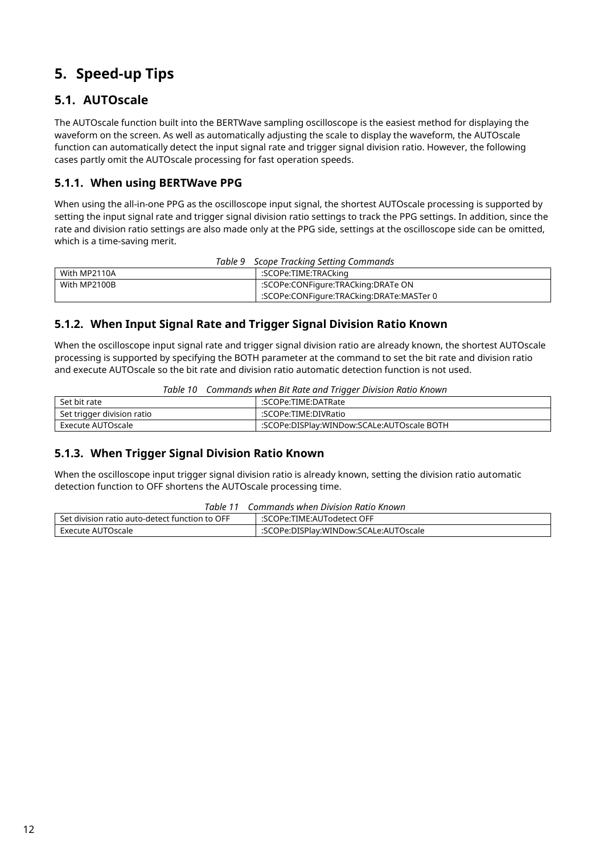## <span id="page-11-0"></span>**5. Speed-up Tips**

#### **5.1. AUTOscale**

The AUTOscale function built into the BERTWave sampling oscilloscope is the easiest method for displaying the waveform on the screen. As well as automatically adjusting the scale to display the waveform, the AUTOscale function can automatically detect the input signal rate and trigger signal division ratio. However, the following cases partly omit the AUTOscale processing for fast operation speeds.

#### **5.1.1. When using BERTWave PPG**

When using the all-in-one PPG as the oscilloscope input signal, the shortest AUTOscale processing is supported by setting the input signal rate and trigger signal division ratio settings to track the PPG settings. In addition, since the rate and division ratio settings are also made only at the PPG side, settings at the oscilloscope side can be omitted, which is a time-saving merit.

| Table 9<br>Scope Tracking Setting Commands |                                          |  |
|--------------------------------------------|------------------------------------------|--|
| With MP2110A                               | :SCOPe:TIME:TRACking                     |  |
| With MP2100B                               | :SCOPe:CONFigure:TRACking:DRATe ON       |  |
|                                            | :SCOPe:CONFigure:TRACking:DRATe:MASTer 0 |  |

#### **5.1.2. When Input Signal Rate and Trigger Signal Division Ratio Known**

When the oscilloscope input signal rate and trigger signal division ratio are already known, the shortest AUTOscale processing is supported by specifying the BOTH parameter at the command to set the bit rate and division ratio and execute AUTOscale so the bit rate and division ratio automatic detection function is not used.

|  | Table 10 Commands when Bit Rate and Trigger Division Ratio Known |  |
|--|------------------------------------------------------------------|--|
|  |                                                                  |  |

| Set bit rate               | :SCOPe:TIME:DATRate                        |
|----------------------------|--------------------------------------------|
| Set trigger division ratio | :SCOPe:TIME:DIVRatio                       |
| Execute AUTOscale          | :SCOPe:DISPlay:WINDow:SCALe:AUTOscale BOTH |

#### **5.1.3. When Trigger Signal Division Ratio Known**

When the oscilloscope input trigger signal division ratio is already known, setting the division ratio automatic detection function to OFF shortens the AUTOscale processing time.

| Table 11                                       | Commands when Division Ratio Known    |
|------------------------------------------------|---------------------------------------|
| Set division ratio auto-detect function to OFF | :SCOPe:TIME:AUTodetect OFF            |
| Execute AUTOscale                              | :SCOPe:DISPlay:WINDow:SCALe:AUTOscale |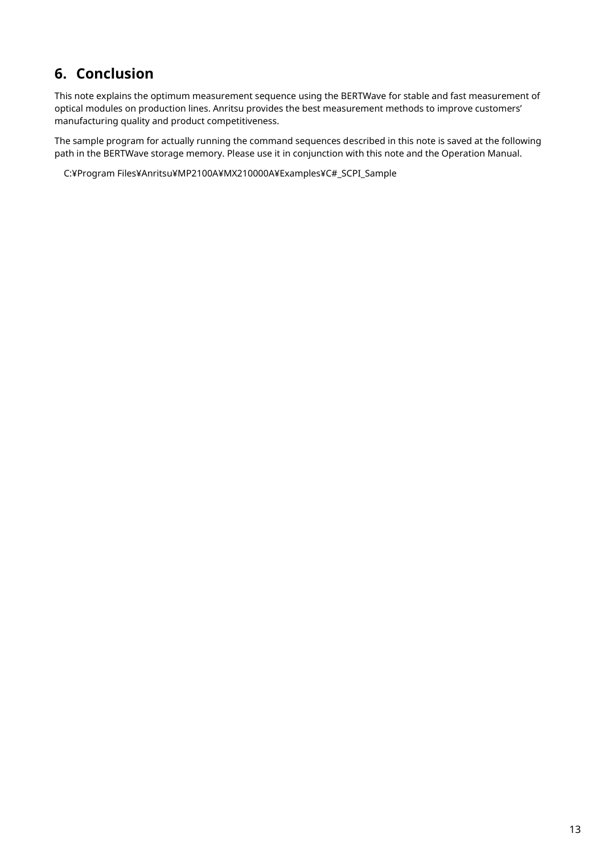## <span id="page-12-0"></span>**6. Conclusion**

This note explains the optimum measurement sequence using the BERTWave for stable and fast measurement of optical modules on production lines. Anritsu provides the best measurement methods to improve customers' manufacturing quality and product competitiveness.

The sample program for actually running the command sequences described in this note is saved at the following path in the BERTWave storage memory. Please use it in conjunction with this note and the Operation Manual.

C:¥Program Files¥Anritsu¥MP2100A¥MX210000A¥Examples¥C#\_SCPI\_Sample